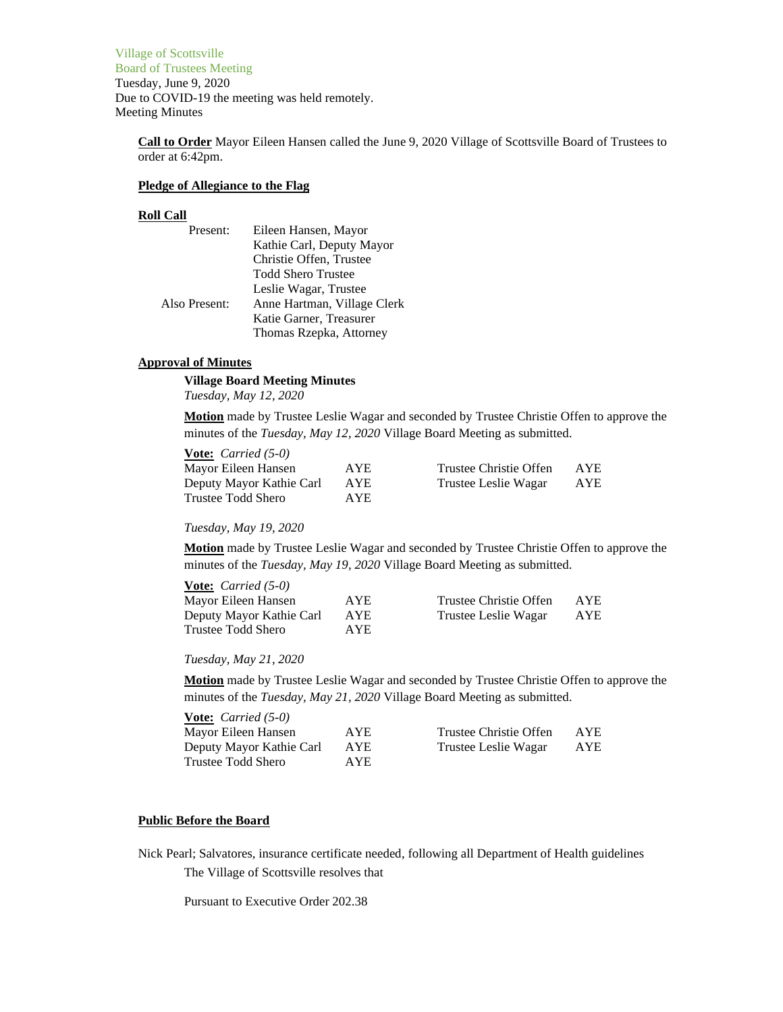Village of Scottsville Board of Trustees Meeting Tuesday, June 9, 2020 Due to COVID-19 the meeting was held remotely. Meeting Minutes

**Call to Order** Mayor Eileen Hansen called the June 9, 2020 Village of Scottsville Board of Trustees to order at 6:42pm.

#### **Pledge of Allegiance to the Flag**

#### **Roll Call**

| Eileen Hansen, Mayor        |
|-----------------------------|
| Kathie Carl, Deputy Mayor   |
| Christie Offen, Trustee     |
| <b>Todd Shero Trustee</b>   |
| Leslie Wagar, Trustee       |
| Anne Hartman, Village Clerk |
| Katie Garner, Treasurer     |
| Thomas Rzepka, Attorney     |
|                             |

### **Approval of Minutes**

**Village Board Meeting Minutes**

*Tuesday, May 12, 2020*

**Motion** made by Trustee Leslie Wagar and seconded by Trustee Christie Offen to approve the minutes of the *Tuesday, May 12, 2020* Village Board Meeting as submitted.

| <b>Vote:</b> <i>Carried</i> $(5-0)$ |      |                        |            |
|-------------------------------------|------|------------------------|------------|
| Mayor Eileen Hansen                 | AYE. | Trustee Christie Offen | <b>AYE</b> |
| Deputy Mayor Kathie Carl            | AYE  | Trustee Leslie Wagar   | <b>AYE</b> |
| Trustee Todd Shero                  | AYE. |                        |            |

*Tuesday, May 19, 2020*

**Motion** made by Trustee Leslie Wagar and seconded by Trustee Christie Offen to approve the minutes of the *Tuesday, May 19, 2020* Village Board Meeting as submitted.

| <b>Vote:</b> <i>Carried</i> $(5-0)$ |            |                        |            |
|-------------------------------------|------------|------------------------|------------|
| Mayor Eileen Hansen                 | AYE.       | Trustee Christie Offen | AYE.       |
| Deputy Mayor Kathie Carl            | <b>AYE</b> | Trustee Leslie Wagar   | <b>AYE</b> |
| Trustee Todd Shero                  | AYE.       |                        |            |

*Tuesday, May 21, 2020*

**Motion** made by Trustee Leslie Wagar and seconded by Trustee Christie Offen to approve the minutes of the *Tuesday, May 21, 2020* Village Board Meeting as submitted.

| <b><u>Vote:</u></b> <i>Carried</i> $(5-0)$ |            |                        |     |
|--------------------------------------------|------------|------------------------|-----|
| Mayor Eileen Hansen                        | AYE.       | Trustee Christie Offen | AYE |
| Deputy Mayor Kathie Carl                   | <b>AYE</b> | Trustee Leslie Wagar   | AYE |
| Trustee Todd Shero                         | AYE.       |                        |     |

# **Public Before the Board**

Nick Pearl; Salvatores, insurance certificate needed, following all Department of Health guidelines

The Village of Scottsville resolves that

Pursuant to Executive Order 202.38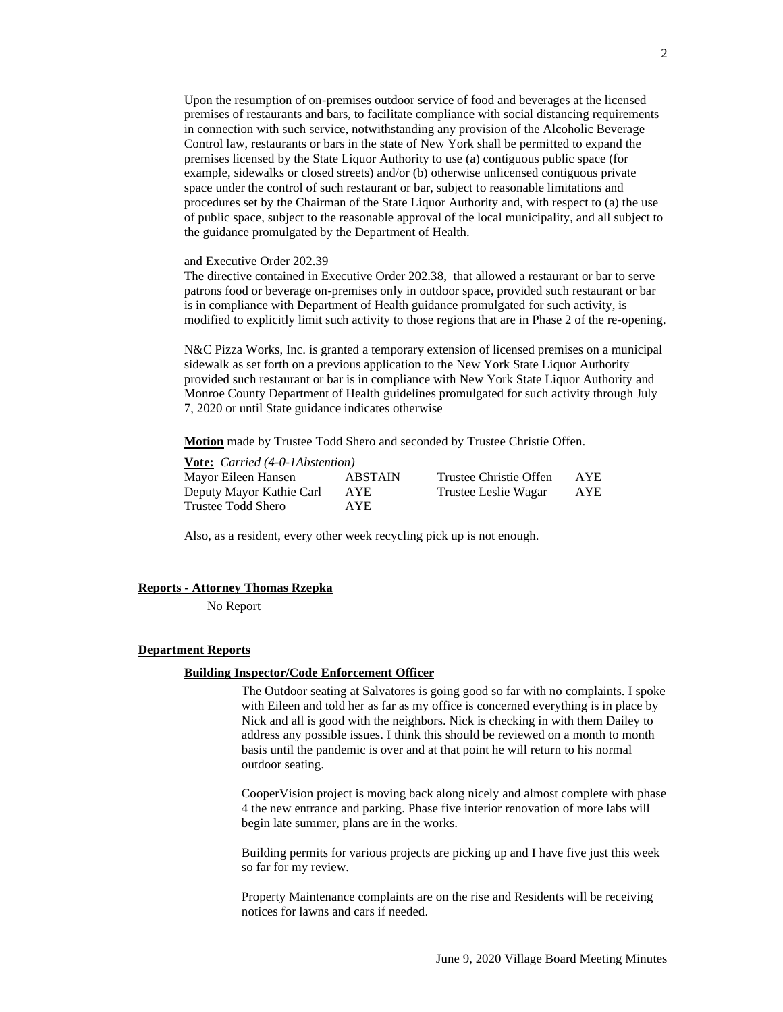Upon the resumption of on-premises outdoor service of food and beverages at the licensed premises of restaurants and bars, to facilitate compliance with social distancing requirements in connection with such service, notwithstanding any provision of the Alcoholic Beverage Control law, restaurants or bars in the state of New York shall be permitted to expand the premises licensed by the State Liquor Authority to use (a) contiguous public space (for example, sidewalks or closed streets) and/or (b) otherwise unlicensed contiguous private space under the control of such restaurant or bar, subject to reasonable limitations and procedures set by the Chairman of the State Liquor Authority and, with respect to (a) the use of public space, subject to the reasonable approval of the local municipality, and all subject to the guidance promulgated by the Department of Health.

### and Executive Order 202.39

The directive contained in Executive Order 202.38, that allowed a restaurant or bar to serve patrons food or beverage on-premises only in outdoor space, provided such restaurant or bar is in compliance with Department of Health guidance promulgated for such activity, is modified to explicitly limit such activity to those regions that are in Phase 2 of the re-opening.

N&C Pizza Works, Inc. is granted a temporary extension of licensed premises on a municipal sidewalk as set forth on a previous application to the New York State Liquor Authority provided such restaurant or bar is in compliance with New York State Liquor Authority and Monroe County Department of Health guidelines promulgated for such activity through July 7, 2020 or until State guidance indicates otherwise

**Motion** made by Trustee Todd Shero and seconded by Trustee Christie Offen.

| <b>Vote:</b> <i>Carried</i> (4-0-1Abstention) |                |                        |            |
|-----------------------------------------------|----------------|------------------------|------------|
| Mayor Eileen Hansen                           | <b>ABSTAIN</b> | Trustee Christie Offen | <b>AYE</b> |
| Deputy Mayor Kathie Carl                      | <b>AYE</b>     | Trustee Leslie Wagar   | <b>AYE</b> |
| Trustee Todd Shero                            | AYE.           |                        |            |

Also, as a resident, every other week recycling pick up is not enough.

#### **Reports - Attorney Thomas Rzepka**

No Report

#### **Department Reports**

#### **Building Inspector/Code Enforcement Officer**

The Outdoor seating at Salvatores is going good so far with no complaints. I spoke with Eileen and told her as far as my office is concerned everything is in place by Nick and all is good with the neighbors. Nick is checking in with them Dailey to address any possible issues. I think this should be reviewed on a month to month basis until the pandemic is over and at that point he will return to his normal outdoor seating.

CooperVision project is moving back along nicely and almost complete with phase 4 the new entrance and parking. Phase five interior renovation of more labs will begin late summer, plans are in the works.

Building permits for various projects are picking up and I have five just this week so far for my review.

Property Maintenance complaints are on the rise and Residents will be receiving notices for lawns and cars if needed.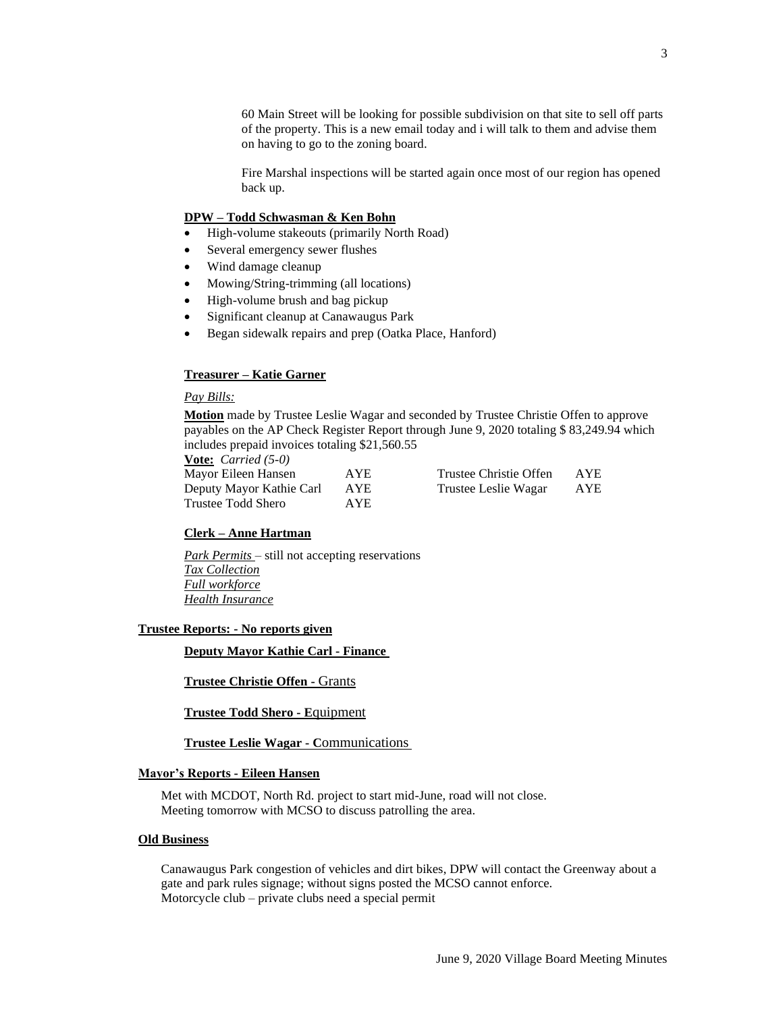60 Main Street will be looking for possible subdivision on that site to sell off parts of the property. This is a new email today and i will talk to them and advise them on having to go to the zoning board.

Fire Marshal inspections will be started again once most of our region has opened back up.

## **DPW – Todd Schwasman & Ken Bohn**

- High-volume stakeouts (primarily North Road)
- Several emergency sewer flushes
- Wind damage cleanup
- Mowing/String-trimming (all locations)
- High-volume brush and bag pickup
- Significant cleanup at Canawaugus Park
- Began sidewalk repairs and prep (Oatka Place, Hanford)

### **Treasurer – Katie Garner**

## *Pay Bills:*

**Motion** made by Trustee Leslie Wagar and seconded by Trustee Christie Offen to approve payables on the AP Check Register Report through June 9, 2020 totaling \$ 83,249.94 which includes prepaid invoices totaling \$21,560.55

**Vote:** *Carried (5-0)* Mayor Eileen Hansen AYE Trustee Christie Offen AYE Deputy Mayor Kathie Carl AYE Trustee Leslie Wagar AYE Trustee Todd Shero AYE

## **Clerk – Anne Hartman**

*Park Permits* – still not accepting reservations *Tax Collection Full workforce Health Insurance*

## **Trustee Reports: - No reports given**

**Deputy Mayor Kathie Carl - Finance**

#### **Trustee Christie Offen -** Grants

**Trustee Todd Shero - E**quipment

**Trustee Leslie Wagar - C**ommunications

### **Mayor's Reports - Eileen Hansen**

Met with MCDOT, North Rd. project to start mid-June, road will not close. Meeting tomorrow with MCSO to discuss patrolling the area.

#### **Old Business**

Canawaugus Park congestion of vehicles and dirt bikes, DPW will contact the Greenway about a gate and park rules signage; without signs posted the MCSO cannot enforce. Motorcycle club – private clubs need a special permit